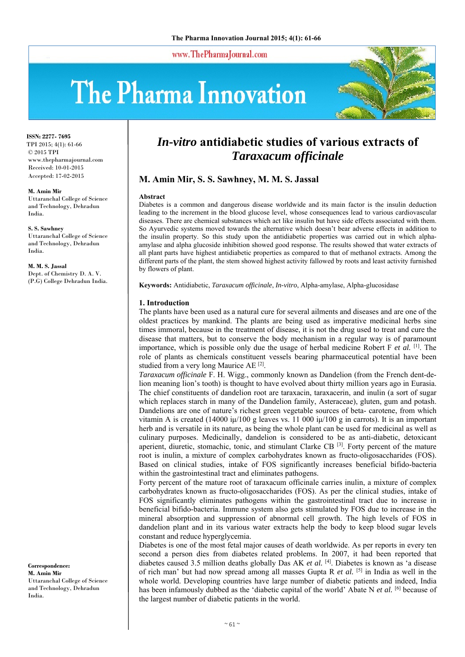www.ThePharmaJournal.com

# The Pharma Innovation



**ISSN: 2277- 7695** TPI 2015; 4(1): 61-66 © 2015 TPI www.thepharmajournal.com Received: 10-01-2015 Accepted: 17-02-2015

#### **M. Amin Mir**

Uttaranchal College of Science and Technology, Dehradun India.

**S. S. Sawhney**  Uttaranchal College of Science and Technology, Dehradun India.

**M. M. S. Jassal**  Dept. of Chemistry D. A. V. (P.G) College Dehradun India.

**Correspondence: M. Amin Mir**  Uttaranchal College of Science and Technology, Dehradun India.

# *In-vitro* **antidiabetic studies of various extracts of**  *Taraxacum officinale*

# **M. Amin Mir, S. S. Sawhney, M. M. S. Jassal**

#### **Abstract**

Diabetes is a common and dangerous disease worldwide and its main factor is the insulin deduction leading to the increment in the blood glucose level, whose consequences lead to various cardiovascular diseases. There are chemical substances which act like insulin but have side effects associated with them. So Ayurvedic systems moved towards the alternative which doesn't bear adverse effects in addition to the insulin property. So this study upon the antidiabetic properties was carried out in which alphaamylase and alpha glucoside inhibition showed good response. The results showed that water extracts of all plant parts have highest antidiabetic properties as compared to that of methanol extracts. Among the different parts of the plant, the stem showed highest activity fallowed by roots and least activity furnished by flowers of plant.

**Keywords:** Antidiabetic, *Taraxacum officinale*, *In-vitro*, Alpha-amylase, Alpha-glucosidase

# **1. Introduction**

The plants have been used as a natural cure for several ailments and diseases and are one of the oldest practices by mankind. The plants are being used as imperative medicinal herbs sine times immoral, because in the treatment of disease, it is not the drug used to treat and cure the disease that matters, but to conserve the body mechanism in a regular way is of paramount importance, which is possible only due the usage of herbal medicine Robert F *et al.* [1]. The role of plants as chemicals constituent vessels bearing pharmaceutical potential have been studied from a very long Maurice AE [2].

*Taraxacum officinale* F. H. Wigg., commonly known as Dandelion (from the French dent-delion meaning lion's tooth) is thought to have evolved about thirty million years ago in Eurasia. The chief constituents of dandelion root are taraxacin, taraxacerin, and inulin (a sort of sugar which replaces starch in many of the Dandelion family, Asteraceae), gluten, gum and potash. Dandelions are one of nature's richest green vegetable sources of beta- carotene, from which vitamin A is created (14000 iµ/100 g leaves vs. 11 000 iµ/100 g in carrots). It is an important herb and is versatile in its nature, as being the whole plant can be used for medicinal as well as culinary purposes. Medicinally, dandelion is considered to be as anti-diabetic, detoxicant aperient, diuretic, stomachic, tonic, and stimulant Clarke CB  $^{[3]}$ . Forty percent of the mature root is inulin, a mixture of complex carbohydrates known as fructo-oligosaccharides (FOS). Based on clinical studies, intake of FOS significantly increases beneficial bifido-bacteria within the gastrointestinal tract and eliminates pathogens.

Forty percent of the mature root of taraxacum officinale carries inulin, a mixture of complex carbohydrates known as fructo-oligosaccharides (FOS). As per the clinical studies, intake of FOS significantly eliminates pathogens within the gastrointestinal tract due to increase in beneficial bifido-bacteria. Immune system also gets stimulated by FOS due to increase in the mineral absorption and suppression of abnormal cell growth. The high levels of FOS in dandelion plant and in its various water extracts help the body to keep blood sugar levels constant and reduce hyperglycemia.

Diabetes is one of the most fetal major causes of death worldwide. As per reports in every ten second a person dies from diabetes related problems. In 2007, it had been reported that diabetes caused 3.5 million deaths globally Das AK *et al.* [4]. Diabetes is known as 'a disease of rich man' but had now spread among all masses Gupta R *et al.* [5] in India as well in the whole world. Developing countries have large number of diabetic patients and indeed, India has been infamously dubbed as the 'diabetic capital of the world' Abate N *et al.* [6] because of the largest number of diabetic patients in the world.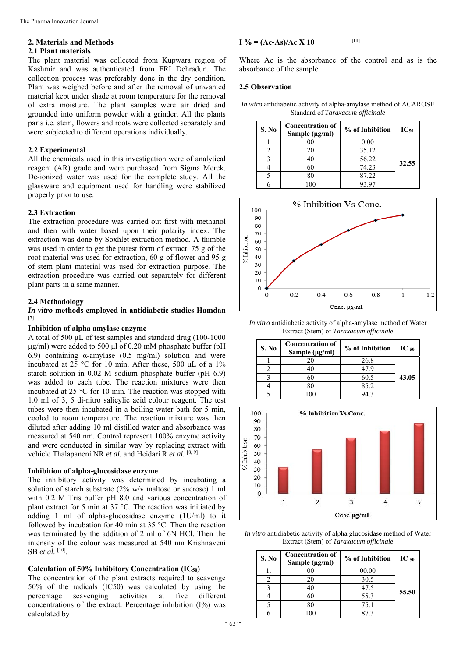# **2. Materials and Methods**

# **2.1 Plant materials**

The plant material was collected from Kupwara region of Kashmir and was authenticated from FRI Dehradun. The collection process was preferably done in the dry condition. Plant was weighed before and after the removal of unwanted material kept under shade at room temperature for the removal of extra moisture. The plant samples were air dried and grounded into uniform powder with a grinder. All the plants parts i.e. stem, flowers and roots were collected separately and were subjected to different operations individually.

## **2.2 Experimental**

All the chemicals used in this investigation were of analytical reagent (AR) grade and were purchased from Sigma Merck. De-ionized water was used for the complete study. All the glassware and equipment used for handling were stabilized properly prior to use.

#### **2.3 Extraction**

The extraction procedure was carried out first with methanol and then with water based upon their polarity index. The extraction was done by Soxhlet extraction method. A thimble was used in order to get the purest form of extract. 75 g of the root material was used for extraction, 60 g of flower and 95 g of stem plant material was used for extraction purpose. The extraction procedure was carried out separately for different plant parts in a same manner.

#### **2.4 Methodology**

#### *In vitro* **methods employed in antidiabetic studies Hamdan [7]**

# **Inhibition of alpha amylase enzyme**

A total of 500 μL of test samples and standard drug (100-1000 μg/ml) were added to 500 μl of 0.20 mM phosphate buffer (pH 6.9) containing α-amylase (0.5 mg/ml) solution and were incubated at 25 °C for 10 min. After these, 500 μL of a 1% starch solution in 0.02 M sodium phosphate buffer (pH 6.9) was added to each tube. The reaction mixtures were then incubated at 25 °C for 10 min. The reaction was stopped with 1.0 ml of 3, 5 di-nitro salicylic acid colour reagent. The test tubes were then incubated in a boiling water bath for 5 min, cooled to room temperature. The reaction mixture was then diluted after adding 10 ml distilled water and absorbance was measured at 540 nm. Control represent 100% enzyme activity and were conducted in similar way by replacing extract with vehicle Thalapaneni NR *et al.* and Heidari R *et al.* [8, 9].

#### **Inhibition of alpha-glucosidase enzyme**

The inhibitory activity was determined by incubating a solution of starch substrate (2% w/v maltose or sucrose) 1 ml with 0.2 M Tris buffer pH 8.0 and various concentration of plant extract for 5 min at 37 °C. The reaction was initiated by adding 1 ml of alpha-glucosidase enzyme (1U/ml) to it followed by incubation for 40 min at 35 °C. Then the reaction was terminated by the addition of 2 ml of 6N HCl. Then the intensity of the colour was measured at 540 nm Krishnaveni SB *et al.* [10].

## **Calculation of 50% Inhibitory Concentration (IC50)**

The concentration of the plant extracts required to scavenge 50% of the radicals (IC50) was calculated by using the percentage scavenging activities at five different concentrations of the extract. Percentage inhibition (I%) was calculated by

$$
I\% = (Ac-As)/Ac X 10
$$
 [11]

Where Ac is the absorbance of the control and as is the absorbance of the sample.

#### **2.5 Observation**

*In vitro* antidiabetic activity of alpha-amylase method of ACAROSE Standard of *Taraxacum officinale* 

| S. No | <b>Concentration of</b><br>Sample $(\mu g/ml)$ | % of Inhibition | $IC_{50}$ |
|-------|------------------------------------------------|-----------------|-----------|
|       | 00                                             | 0.00            |           |
|       | 20                                             | 35.12           |           |
|       | 40                                             | 56.22           | 32.55     |
|       | 60                                             | 74.23           |           |
|       | 80                                             | 87.22           |           |
|       |                                                | 93.97           |           |



*In vitro* antidiabetic activity of alpha-amylase method of Water Extract (Stem) of *Taraxacum officinale* 

| S. No | <b>Concentration of</b><br>Sample (µg/ml) | % of Inhibition | $IC_{50}$ |
|-------|-------------------------------------------|-----------------|-----------|
|       |                                           | 26.8            |           |
|       |                                           | 479             |           |
|       |                                           | 60.5            | 43.05     |
|       |                                           | 85.2            |           |
|       |                                           | 14 Z            |           |



*In vitro* antidiabetic activity of alpha glucosidase method of Water Extract (Stem) of *Taraxacum officinale*

| S. No | <b>Concentration of</b><br>Sample (µg/ml) | % of Inhibition | $IC_{50}$ |
|-------|-------------------------------------------|-----------------|-----------|
|       |                                           | 00.00           |           |
|       | 20                                        | 30.5            |           |
|       | 40                                        | 47.5            | 55.50     |
|       | 60                                        | 55.3            |           |
|       | 30                                        | 75.1            |           |
|       |                                           |                 |           |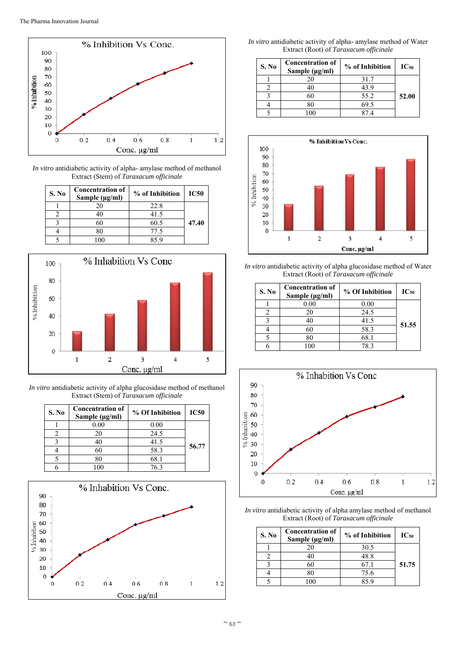

*In vitro* antidiabetic activity of alpha- amylase method of methanol Extract (Stem) of *Taraxacum officinale*

| S. No | <b>Concentration of</b><br>Sample $(\mu g/ml)$ | % of Inhibition | <b>IC50</b> |
|-------|------------------------------------------------|-----------------|-------------|
|       | 20                                             | 22.8            |             |
|       | 40                                             | 41.5            |             |
|       | 60                                             | 60.5            | 47.40       |
|       | 80                                             | 77.5            |             |
|       |                                                | 859             |             |



*In vitro* antidiabetic activity of alpha glucosidase method of methanol Extract (Stem) of *Taraxacum officinale*

| S. No | <b>Concentration of</b><br>Sample $(\mu g/ml)$ | % Of Inhibition | <b>IC50</b> |
|-------|------------------------------------------------|-----------------|-------------|
|       | 0.00                                           | 0.00            |             |
|       | 20                                             | 24.5            |             |
|       | 40                                             | 41.5            |             |
|       | 60                                             | 58.3            | 56.77       |
|       | 80                                             | 68.1            |             |
|       |                                                | 763             |             |



*In vitro* antidiabetic activity of alpha- amylase method of Water Extract (Root) of *Taraxacum officinale*

| S. No | <b>Concentration of</b><br>Sample $(\mu g/ml)$ | % of Inhibition | $IC_{50}$ |
|-------|------------------------------------------------|-----------------|-----------|
|       | 20                                             | 31.7            |           |
|       | 40                                             | 43.9            |           |
|       | 60                                             | 55.2            | 52.00     |
|       | 80                                             | 69.5            |           |
|       | 00                                             | 874             |           |



*In vitro* antidiabetic activity of alpha glucosidase method of Water Extract (Root) of *Taraxacum officinale*

| S. No | <b>Concentration of</b><br>Sample ( $\mu$ g/ml) | % Of Inhibition | $IC_{50}$ |
|-------|-------------------------------------------------|-----------------|-----------|
|       | 0.00                                            | 0.00            |           |
|       | 20                                              | 24.5            |           |
|       |                                                 | 41.5            |           |
|       |                                                 | 58.3            | 51.55     |
|       |                                                 | 68.1            |           |
|       |                                                 | 783             |           |



*In vitro* antidiabetic activity of alpha amylase method of methanol Extract (Root) of *Taraxacum officinale*

| S. No | <b>Concentration of</b><br>Sample $(\mu g/ml)$ | % of Inhibition | $IC_{50}$ |
|-------|------------------------------------------------|-----------------|-----------|
|       |                                                | 30.5            |           |
|       |                                                | 48.8            |           |
|       |                                                | 67.1            | 51.75     |
|       |                                                | 75.6            |           |
|       |                                                |                 |           |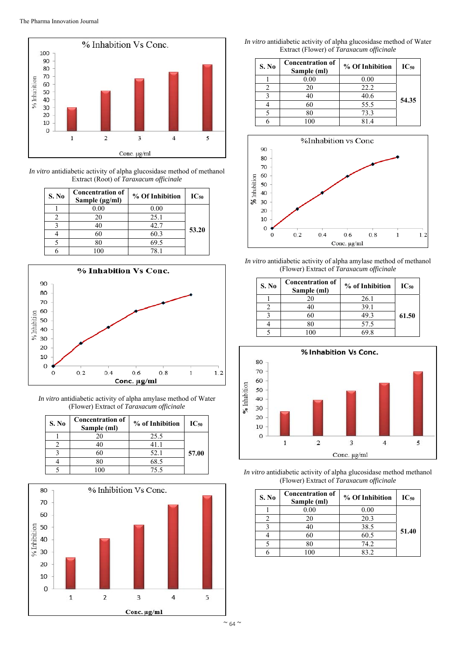

*In vitro* antidiabetic activity of alpha glucosidase method of methanol Extract (Root) of *Taraxacum officinale*

| S. No | <b>Concentration of</b><br>Sample $(\mu g/ml)$ | % Of Inhibition | $IC_{50}$ |
|-------|------------------------------------------------|-----------------|-----------|
|       | 0.00                                           | 0.00            |           |
|       | 20                                             | 25.1            |           |
|       | 40                                             | 42.7            | 53.20     |
|       | 60                                             | 60.3            |           |
|       | 80                                             | 69.5            |           |
|       |                                                | 781             |           |



*In vitro* antidiabetic activity of alpha amylase method of Water (Flower) Extract of *Taraxacum officinale*

| S. No | <b>Concentration of</b><br>Sample (ml) | % of Inhibition | $IC_{50}$ |
|-------|----------------------------------------|-----------------|-----------|
|       |                                        | 25.5            |           |
|       |                                        | 41. I           |           |
|       |                                        | 52.1            | 57.00     |
|       |                                        | 68.5            |           |
|       |                                        | 75.5            |           |



*In vitro* antidiabetic activity of alpha glucosidase method of Water Extract (Flower) of *Taraxacum officinale*

| S. No | <b>Concentration of</b><br>Sample (ml) | % Of Inhibition | $IC_{50}$ |
|-------|----------------------------------------|-----------------|-----------|
|       | 0.00                                   | 0.00            |           |
| 2     | 20                                     | 22.2            |           |
| ٩     | 40                                     | 40.6            | 54.35     |
|       | 60                                     | 55.5            |           |
|       | 80                                     | 73.3            |           |
|       | 00                                     | 814             |           |



*In vitro* antidiabetic activity of alpha amylase method of methanol (Flower) Extract of *Taraxacum officinale* 

| S. No | <b>Concentration of</b><br>Sample (ml) | % of Inhibition | $IC_{50}$ |
|-------|----------------------------------------|-----------------|-----------|
|       | 20                                     | 26.1            |           |
|       | 40                                     | 39.1            |           |
|       | 60                                     | 49.3            | 61.50     |
|       | 80                                     | 57.5            |           |
|       |                                        | 69 R            |           |



*In vitro* antidiabetic activity of alpha glucosidase method methanol (Flower) Extract of *Taraxacum officinale*

| S. No | <b>Concentration of</b><br>Sample (ml) | % Of Inhibition | $IC_{50}$ |
|-------|----------------------------------------|-----------------|-----------|
|       | 0.00                                   | 0.00            |           |
|       | 20                                     | 20.3            |           |
|       |                                        | 38.5            | 51.40     |
|       |                                        | 60.5            |           |
|       |                                        | 74.2            |           |
|       |                                        | 832             |           |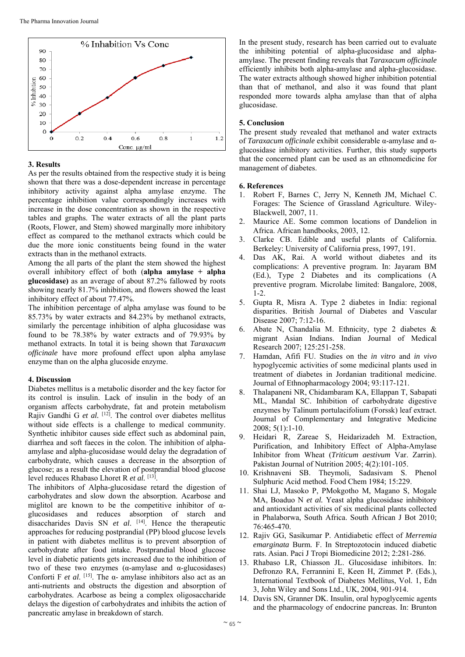

# **3. Results**

As per the results obtained from the respective study it is being shown that there was a dose-dependent increase in percentage inhibitory activity against alpha amylase enzyme. The percentage inhibition value correspondingly increases with increase in the dose concentration as shown in the respective tables and graphs. The water extracts of all the plant parts (Roots, Flower, and Stem) showed marginally more inhibitory effect as compared to the methanol extracts which could be due the more ionic constituents being found in the water extracts than in the methanol extracts.

Among the all parts of the plant the stem showed the highest overall inhibitory effect of both (**alpha amylase + alpha glucosidase)** as an average of about 87.2% fallowed by roots showing nearly 81.7% inhibition, and flowers showed the least inhibitory effect of about 77.47%.

The inhibition percentage of alpha amylase was found to be 85.73% by water extracts and 84.23% by methanol extracts, similarly the percentage inhibition of alpha glucosidase was found to be 78.38% by water extracts and of 79.93% by methanol extracts. In total it is being shown that *Taraxacum officinale* have more profound effect upon alpha amylase enzyme than on the alpha glucoside enzyme.

# **4. Discussion**

Diabetes mellitus is a metabolic disorder and the key factor for its control is insulin. Lack of insulin in the body of an organism affects carbohydrate, fat and protein metabolism Rajiv Gandhi G *et al.* [12]. The control over diabetes mellitus without side effects is a challenge to medical community. Synthetic inhibitor causes side effect such as abdominal pain, diarrhea and soft faeces in the colon. The inhibition of alphaamylase and alpha-glucosidase would delay the degradation of carbohydrate, which causes a decrease in the absorption of glucose; as a result the elevation of postprandial blood glucose level reduces Rhabaso Lhoret R *et al.* [13].

The inhibitors of Alpha-glucosidase retard the digestion of carbohydrates and slow down the absorption. Acarbose and miglitol are known to be the competitive inhibitor of  $\alpha$ glucosidases and reduces absorption of starch and disaccharides Davis SN *et al*. [14]. Hence the therapeutic approaches for reducing postprandial (PP) blood glucose levels in patient with diabetes mellitus is to prevent absorption of carbohydrate after food intake. Postprandial blood glucose level in diabetic patients gets increased due to the inhibition of two of these two enzymes ( $\alpha$ -amylase and  $\alpha$ -glucosidases) Conforti F *et al*. [15]. The α- amylase inhibitors also act as an anti-nutrients and obstructs the digestion and absorption of carbohydrates. Acarbose as being a complex oligosaccharide delays the digestion of carbohydrates and inhibits the action of pancreatic amylase in breakdown of starch.

In the present study, research has been carried out to evaluate the inhibiting potential of alpha-glucosidase and alphaamylase. The present finding reveals that *Taraxacum officinale*  efficiently inhibits both alpha-amylase and alpha-glucosidase. The water extracts although showed higher inhibition potential than that of methanol, and also it was found that plant responded more towards alpha amylase than that of alpha glucosidase.

# **5. Conclusion**

The present study revealed that methanol and water extracts of *Taraxacum officinale* exhibit considerable α-amylase and αglucosidase inhibitory activities. Further, this study supports that the concerned plant can be used as an ethnomedicine for management of diabetes.

# **6. References**

- 1. Robert F, Barnes C, Jerry N, Kenneth JM, Michael C. Forages: The Science of Grassland Agriculture. Wiley-Blackwell, 2007, 11.
- 2. Maurice AE. Some common locations of Dandelion in Africa. African handbooks, 2003, 12.
- 3. Clarke CB. Edible and useful plants of California. Berkeley: University of California press, 1997, 191.
- 4. Das AK, Rai. A world without diabetes and its complications: A preventive program. In: Jayaram BM (Ed.), Type 2 Diabetes and its complications (A preventive program. Microlabe limited: Bangalore, 2008, 1-2.
- 5. Gupta R, Misra A. Type 2 diabetes in India: regional disparities. British Journal of Diabetes and Vascular Disease 2007; 7:12-16.
- 6. Abate N, Chandalia M. Ethnicity, type 2 diabetes & migrant Asian Indians. Indian Journal of Medical Research 2007; 125:251-258.
- 7. Hamdan, Afifi FU. Studies on the *in vitro* and *in vivo* hypoglycemic activities of some medicinal plants used in treatment of diabetes in Jordanian traditional medicine. Journal of Ethnopharmacology 2004; 93:117-121.
- 8. Thalapaneni NR, Chidambaram KA, Ellappan T, Sabapati ML, Mandal SC. Inhibition of carbohydrate digestive enzymes by Talinum portulacifolium (Forssk) leaf extract. Journal of Complementary and Integrative Medicine 2008; 5(1):1-10.
- 9. Heidari R, Zareae S, Heidarizadeh M. Extraction, Purification, and Inhibitory Effect of Alpha-Amylase Inhibitor from Wheat (*Triticum aestivum* Var. Zarrin). Pakistan Journal of Nutrition 2005; 4(2):101-105.
- 10. Krishnaveni SB. Theymoli, Sadasivam S. Phenol Sulphuric Acid method. Food Chem 1984; 15:229.
- 11. Shai LJ, Masoko P, PMokgotho M, Magano S, Mogale MA, Boaduo N *et al.* Yeast alpha glucosidase inhibitory and antioxidant activities of six medicinal plants collected in Phalaborwa, South Africa. South African J Bot 2010; 76:465-470.
- 12. Rajiv GG, Sasikumar P. Antidiabetic effect of *Merremia emarginata* Burm*.* F. In Streptozotocin induced diabetic rats. Asian. Paci J Tropi Biomedicine 2012; 2:281-286.
- 13. Rhabaso LR, Chiasson JL. Glucosidase inhibitors. In: Defronzo RA, Ferrannini E, Keen H, Zimmet P. (Eds.), International Textbook of Diabetes Mellitus, Vol. 1, Edn 3, John Wiley and Sons Ltd., UK, 2004, 901-914.
- 14. Davis SN, Granner DK. Insulin, oral hypoglycemic agents and the pharmacology of endocrine pancreas. In: Brunton